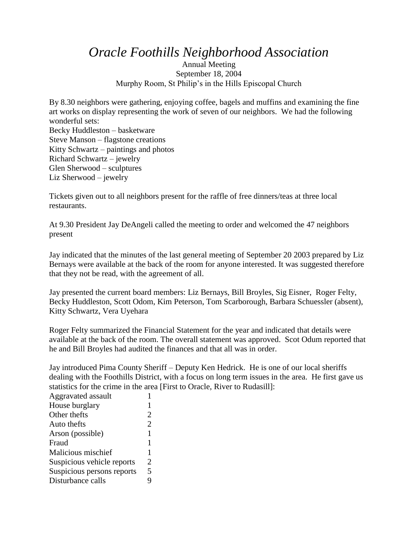*Oracle Foothills Neighborhood Association*

Annual Meeting September 18, 2004 Murphy Room, St Philip's in the Hills Episcopal Church

By 8.30 neighbors were gathering, enjoying coffee, bagels and muffins and examining the fine art works on display representing the work of seven of our neighbors. We had the following wonderful sets: Becky Huddleston – basketware Steve Manson – flagstone creations Kitty Schwartz – paintings and photos Richard Schwartz – jewelry Glen Sherwood – sculptures Liz Sherwood – jewelry

Tickets given out to all neighbors present for the raffle of free dinners/teas at three local restaurants.

At 9.30 President Jay DeAngeli called the meeting to order and welcomed the 47 neighbors present

Jay indicated that the minutes of the last general meeting of September 20 2003 prepared by Liz Bernays were available at the back of the room for anyone interested. It was suggested therefore that they not be read, with the agreement of all.

Jay presented the current board members: Liz Bernays, Bill Broyles, Sig Eisner, Roger Felty, Becky Huddleston, Scott Odom, Kim Peterson, Tom Scarborough, Barbara Schuessler (absent), Kitty Schwartz, Vera Uyehara

Roger Felty summarized the Financial Statement for the year and indicated that details were available at the back of the room. The overall statement was approved. Scot Odum reported that he and Bill Broyles had audited the finances and that all was in order.

Jay introduced Pima County Sheriff – Deputy Ken Hedrick. He is one of our local sheriffs dealing with the Foothills District, with a focus on long term issues in the area. He first gave us statistics for the crime in the area [First to Oracle, River to Rudasill]:

| Aggravated assault         |                |
|----------------------------|----------------|
| House burglary             | 1              |
| Other thefts               | $\overline{2}$ |
| Auto thefts                | $\overline{2}$ |
| Arson (possible)           | 1              |
| Fraud                      | 1              |
| Malicious mischief         | 1              |
| Suspicious vehicle reports | 2              |
| Suspicious persons reports | 5              |
| Disturbance calls          | Q              |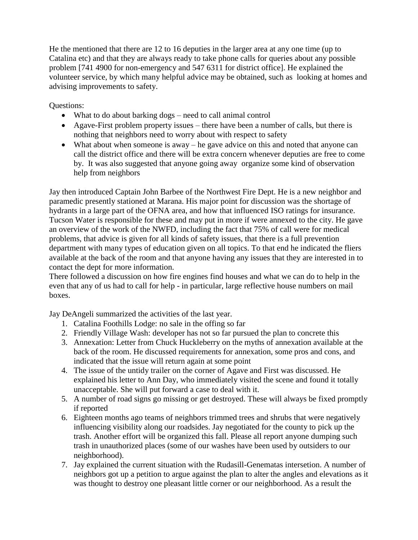He the mentioned that there are 12 to 16 deputies in the larger area at any one time (up to Catalina etc) and that they are always ready to take phone calls for queries about any possible problem [741 4900 for non-emergency and 547 6311 for district office]. He explained the volunteer service, by which many helpful advice may be obtained, such as looking at homes and advising improvements to safety.

Questions:

- What to do about barking dogs need to call animal control
- Agave-First problem property issues there have been a number of calls, but there is nothing that neighbors need to worry about with respect to safety
- What about when someone is away he gave advice on this and noted that anyone can call the district office and there will be extra concern whenever deputies are free to come by. It was also suggested that anyone going away organize some kind of observation help from neighbors

Jay then introduced Captain John Barbee of the Northwest Fire Dept. He is a new neighbor and paramedic presently stationed at Marana. His major point for discussion was the shortage of hydrants in a large part of the OFNA area, and how that influenced ISO ratings for insurance. Tucson Water is responsible for these and may put in more if were annexed to the city. He gave an overview of the work of the NWFD, including the fact that 75% of call were for medical problems, that advice is given for all kinds of safety issues, that there is a full prevention department with many types of education given on all topics. To that end he indicated the fliers available at the back of the room and that anyone having any issues that they are interested in to contact the dept for more information.

There followed a discussion on how fire engines find houses and what we can do to help in the even that any of us had to call for help - in particular, large reflective house numbers on mail boxes.

Jay DeAngeli summarized the activities of the last year.

- 1. Catalina Foothills Lodge: no sale in the offing so far
- 2. Friendly Village Wash: developer has not so far pursued the plan to concrete this
- 3. Annexation: Letter from Chuck Huckleberry on the myths of annexation available at the back of the room. He discussed requirements for annexation, some pros and cons, and indicated that the issue will return again at some point
- 4. The issue of the untidy trailer on the corner of Agave and First was discussed. He explained his letter to Ann Day, who immediately visited the scene and found it totally unacceptable. She will put forward a case to deal with it.
- 5. A number of road signs go missing or get destroyed. These will always be fixed promptly if reported
- 6. Eighteen months ago teams of neighbors trimmed trees and shrubs that were negatively influencing visibility along our roadsides. Jay negotiated for the county to pick up the trash. Another effort will be organized this fall. Please all report anyone dumping such trash in unauthorized places (some of our washes have been used by outsiders to our neighborhood).
- 7. Jay explained the current situation with the Rudasill-Genematas intersetion. A number of neighbors got up a petition to argue against the plan to alter the angles and elevations as it was thought to destroy one pleasant little corner or our neighborhood. As a result the